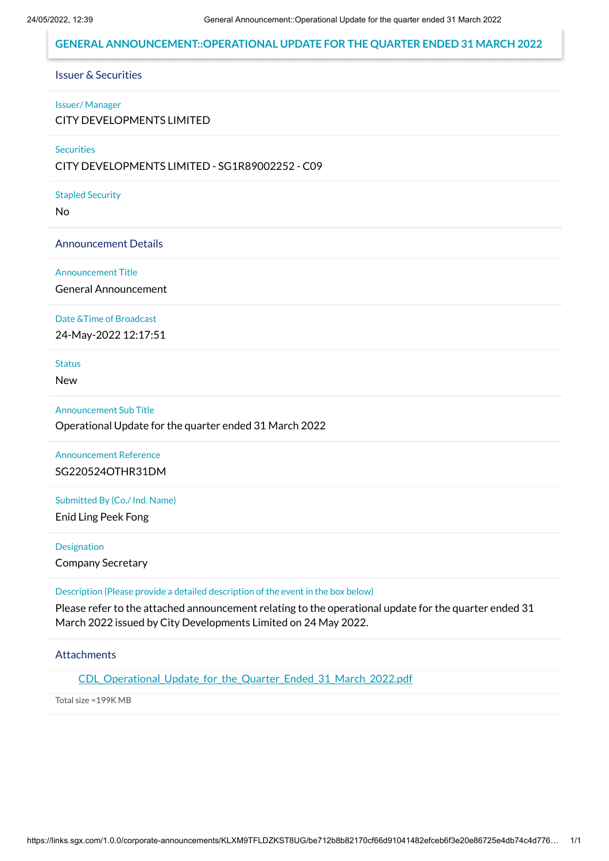### **GENERAL ANNOUNCEMENT::OPERATIONAL UPDATE FOR THE QUARTER ENDED 31 MARCH 2022**

#### Issuer & Securities

#### Issuer/ Manager

CITY DEVELOPMENTS LIMITED

#### **Securities**

CITY DEVELOPMENTS LIMITED - SG1R89002252 - C09

#### Stapled Security

No

#### Announcement Details

#### Announcement Title

General Announcement

#### Date &Time of Broadcast

24-May-2022 12:17:51

# **Status**

New

#### Announcement Sub Title

Operational Update for the quarter ended 31 March 2022

## Announcement Reference SG220524OTHR31DM

Submitted By (Co./ Ind. Name)

Enid Ling Peek Fong

#### Designation

Company Secretary

#### Description (Please provide a detailed description of the event in the box below)

Please refer to the attached announcement relating to the operational update for the quarter ended 31 March 2022 issued by City Developments Limited on 24 May 2022.

### Attachments

CDL Operational Update for the Quarter Ended 31 March 2022.pdf

Total size =199K MB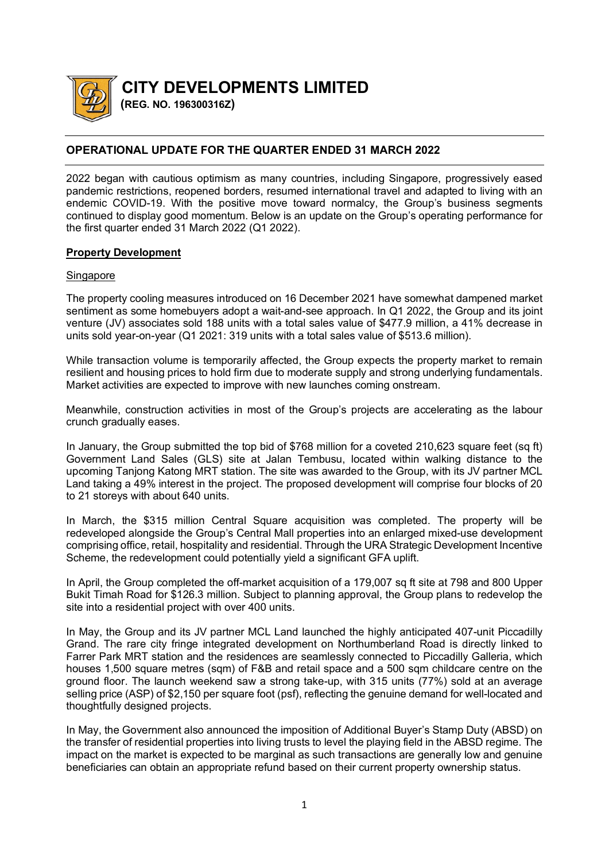

**CITY DEVELOPMENTS LIMITED**

 **(REG. NO. 196300316Z)** 

# **OPERATIONAL UPDATE FOR THE QUARTER ENDED 31 MARCH 2022**

2022 began with cautious optimism as many countries, including Singapore, progressively eased pandemic restrictions, reopened borders, resumed international travel and adapted to living with an endemic COVID-19. With the positive move toward normalcy, the Group's business segments continued to display good momentum. Below is an update on the Group's operating performance for the first quarter ended 31 March 2022 (Q1 2022).

## **Property Development**

## **Singapore**

The property cooling measures introduced on 16 December 2021 have somewhat dampened market sentiment as some homebuyers adopt a wait-and-see approach. In Q1 2022, the Group and its joint venture (JV) associates sold 188 units with a total sales value of \$477.9 million, a 41% decrease in units sold year-on-year (Q1 2021: 319 units with a total sales value of \$513.6 million).

While transaction volume is temporarily affected, the Group expects the property market to remain resilient and housing prices to hold firm due to moderate supply and strong underlying fundamentals. Market activities are expected to improve with new launches coming onstream.

Meanwhile, construction activities in most of the Group's projects are accelerating as the labour crunch gradually eases.

In January, the Group submitted the top bid of \$768 million for a coveted 210,623 square feet (sq ft) Government Land Sales (GLS) site at Jalan Tembusu, located within walking distance to the upcoming Tanjong Katong MRT station. The site was awarded to the Group, with its JV partner MCL Land taking a 49% interest in the project. The proposed development will comprise four blocks of 20 to 21 storeys with about 640 units.

In March, the \$315 million Central Square acquisition was completed. The property will be redeveloped alongside the Group's Central Mall properties into an enlarged mixed-use development comprising office, retail, hospitality and residential. Through the URA Strategic Development Incentive Scheme, the redevelopment could potentially vield a significant GFA uplift.

In April, the Group completed the off-market acquisition of a 179,007 sq ft site at 798 and 800 Upper Bukit Timah Road for \$126.3 million. Subject to planning approval, the Group plans to redevelop the site into a residential project with over 400 units.

In May, the Group and its JV partner MCL Land launched the highly anticipated 407-unit Piccadilly Grand. The rare city fringe integrated development on Northumberland Road is directly linked to Farrer Park MRT station and the residences are seamlessly connected to Piccadilly Galleria, which houses 1,500 square metres (sqm) of F&B and retail space and a 500 sqm childcare centre on the ground floor. The launch weekend saw a strong take-up, with 315 units (77%) sold at an average selling price (ASP) of \$2,150 per square foot (psf), reflecting the genuine demand for well-located and thoughtfully designed projects.

In May, the Government also announced the imposition of Additional Buyer's Stamp Duty (ABSD) on the transfer of residential properties into living trusts to level the playing field in the ABSD regime. The impact on the market is expected to be marginal as such transactions are generally low and genuine beneficiaries can obtain an appropriate refund based on their current property ownership status.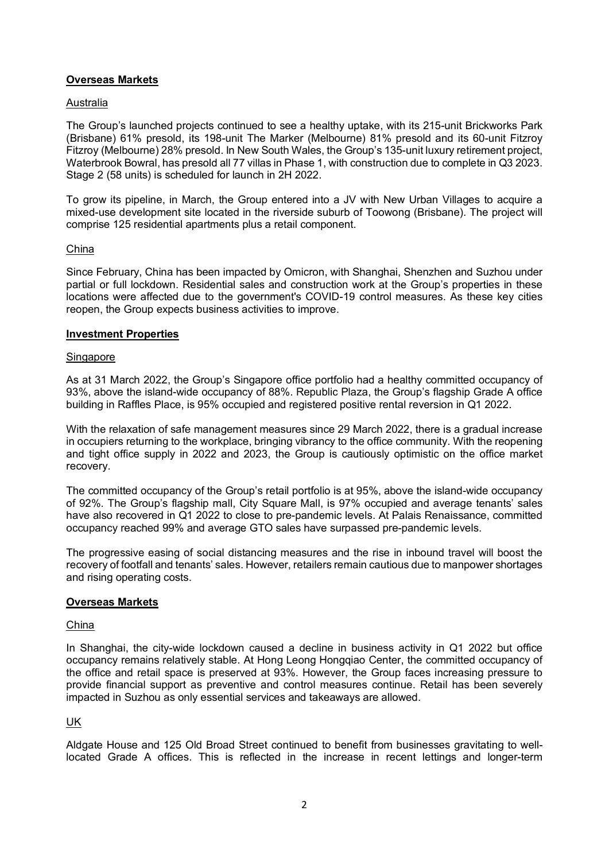## **Overseas Markets**

#### Australia

The Group's launched projects continued to see a healthy uptake, with its 215-unit Brickworks Park (Brisbane) 61% presold, its 198-unit The Marker (Melbourne) 81% presold and its 60-unit Fitzroy Fitzroy (Melbourne) 28% presold. In New South Wales, the Group's 135-unit luxury retirement project, Waterbrook Bowral, has presold all 77 villas in Phase 1, with construction due to complete in Q3 2023. Stage 2 (58 units) is scheduled for launch in 2H 2022.

To grow its pipeline, in March, the Group entered into a JV with New Urban Villages to acquire a mixed-use development site located in the riverside suburb of Toowong (Brisbane). The project will comprise 125 residential apartments plus a retail component.

#### China

Since February, China has been impacted by Omicron, with Shanghai, Shenzhen and Suzhou under partial or full lockdown. Residential sales and construction work at the Group's properties in these locations were affected due to the government's COVID-19 control measures. As these key cities reopen, the Group expects business activities to improve.

#### **Investment Properties**

#### **Singapore**

As at 31 March 2022, the Group's Singapore office portfolio had a healthy committed occupancy of 93%, above the island-wide occupancy of 88%. Republic Plaza, the Group's flagship Grade A office building in Raffles Place, is 95% occupied and registered positive rental reversion in Q1 2022.

With the relaxation of safe management measures since 29 March 2022, there is a gradual increase in occupiers returning to the workplace, bringing vibrancy to the office community. With the reopening and tight office supply in 2022 and 2023, the Group is cautiously optimistic on the office market recovery.

The committed occupancy of the Group's retail portfolio is at 95%, above the island-wide occupancy of 92%. The Group's flagship mall, City Square Mall, is 97% occupied and average tenants' sales have also recovered in Q1 2022 to close to pre-pandemic levels. At Palais Renaissance, committed occupancy reached 99% and average GTO sales have surpassed pre-pandemic levels.

The progressive easing of social distancing measures and the rise in inbound travel will boost the recovery of footfall and tenants' sales. However, retailers remain cautious due to manpower shortages and rising operating costs.

### **Overseas Markets**

### China

In Shanghai, the city-wide lockdown caused a decline in business activity in Q1 2022 but office occupancy remains relatively stable. At Hong Leong Hongqiao Center, the committed occupancy of the office and retail space is preserved at 93%. However, the Group faces increasing pressure to provide financial support as preventive and control measures continue. Retail has been severely impacted in Suzhou as only essential services and takeaways are allowed.

## UK

Aldgate House and 125 Old Broad Street continued to benefit from businesses gravitating to welllocated Grade A offices. This is reflected in the increase in recent lettings and longer-term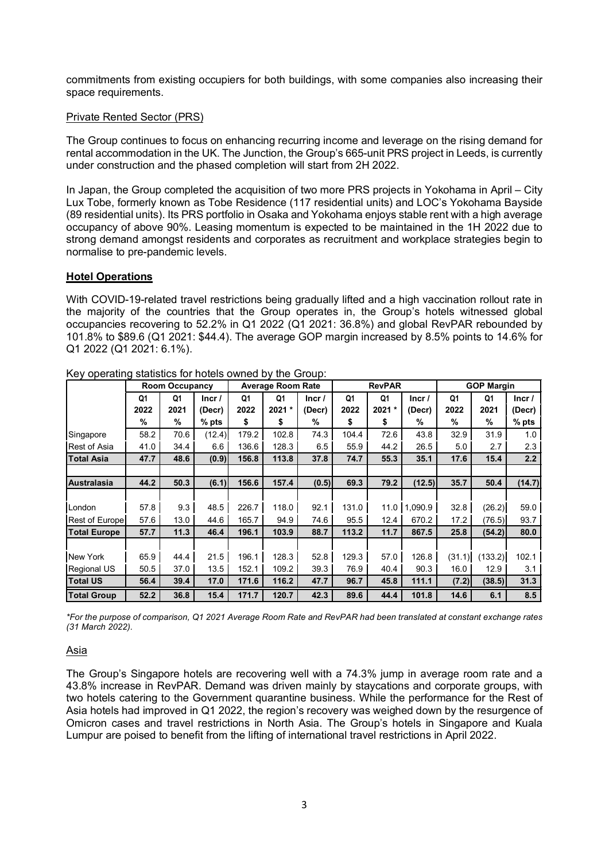commitments from existing occupiers for both buildings, with some companies also increasing their space requirements.

### Private Rented Sector (PRS)

The Group continues to focus on enhancing recurring income and leverage on the rising demand for rental accommodation in the UK. The Junction, the Group's 665-unit PRS project in Leeds, is currently under construction and the phased completion will start from 2H 2022.

In Japan, the Group completed the acquisition of two more PRS projects in Yokohama in April – City Lux Tobe, formerly known as Tobe Residence (117 residential units) and LOC's Yokohama Bayside (89 residential units). Its PRS portfolio in Osaka and Yokohama enjoys stable rent with a high average occupancy of above 90%. Leasing momentum is expected to be maintained in the 1H 2022 due to strong demand amongst residents and corporates as recruitment and workplace strategies begin to normalise to pre-pandemic levels.

### **Hotel Operations**

With COVID-19-related travel restrictions being gradually lifted and a high vaccination rollout rate in the majority of the countries that the Group operates in, the Group's hotels witnessed global occupancies recovering to 52.2% in Q1 2022 (Q1 2021: 36.8%) and global RevPAR rebounded by 101.8% to \$89.6 (Q1 2021: \$44.4). The average GOP margin increased by 8.5% points to 14.6% for Q1 2022 (Q1 2021: 6.1%).

|                       | Room Occupancy |      |         | <b>Average Room Rate</b> |         |        | <b>RevPAR</b> |        |                      | <b>GOP Margin</b> |         |         |
|-----------------------|----------------|------|---------|--------------------------|---------|--------|---------------|--------|----------------------|-------------------|---------|---------|
|                       | Q1             | Q1   | Incr/   | Q1                       | Q1      | lncr/  | Q1            | Q1     | Incr/                | Q1                | Q1      | Incr/   |
|                       | 2022           | 2021 | (Decr)  | 2022                     | $2021*$ | (Decr) | 2022          | 2021 * | (Decr)               | 2022              | 2021    | (Decr)  |
|                       | $\%$           | %    | $%$ pts | \$                       | \$      | %      | \$            | \$     | %                    | %                 | $\%$    | $%$ pts |
| Singapore             | 58.2           | 70.6 | (12.4)  | 179.2                    | 102.8   | 74.3   | 104.4         | 72.6   | 43.8                 | 32.9              | 31.9    | 1.0     |
| <b>Rest of Asia</b>   | 41.0           | 34.4 | 6.6     | 136.6                    | 128.3   | 6.5    | 55.9          | 44.2   | 26.5                 | 5.0               | 2.7     | 2.3     |
| <b>Total Asia</b>     | 47.7           | 48.6 | (0.9)   | 156.8                    | 113.8   | 37.8   | 74.7          | 55.3   | 35.1                 | 17.6              | 15.4    | 2.2     |
|                       |                |      |         |                          |         |        |               |        |                      |                   |         |         |
| Australasia           | 44.2           | 50.3 | (6.1)   | 156.6                    | 157.4   | (0.5)  | 69.3          | 79.2   | (12.5)               | 35.7              | 50.4    | (14.7)  |
|                       |                |      |         |                          |         |        |               |        |                      |                   |         |         |
| London                | 57.8           | 9.3  | 48.5    | 226.7                    | 118.0   | 92.1   | 131.0         | 11.0   | .090.9<br>$\vert$ 1. | 32.8              | (26.2)  | 59.0    |
| <b>Rest of Europe</b> | 57.6           | 13.0 | 44.6    | 165.7                    | 94.9    | 74.6   | 95.5          | 12.4   | 670.2                | 17.2              | (76.5)  | 93.7    |
| <b>Total Europe</b>   | 57.7           | 11.3 | 46.4    | 196.1                    | 103.9   | 88.7   | 113.2         | 11.7   | 867.5                | 25.8              | (54.2)  | 80.0    |
|                       |                |      |         |                          |         |        |               |        |                      |                   |         |         |
| New York              | 65.9           | 44.4 | 21.5    | 196.1                    | 128.3   | 52.8   | 129.3         | 57.0   | 126.8                | (31.1)            | (133.2) | 102.1   |
| <b>Regional US</b>    | 50.5           | 37.0 | 13.5    | 152.1                    | 109.2   | 39.3   | 76.9          | 40.4   | 90.3                 | 16.0              | 12.9    | 3.1     |
| <b>Total US</b>       | 56.4           | 39.4 | 17.0    | 171.6                    | 116.2   | 47.7   | 96.7          | 45.8   | 111.1                | (7.2)             | (38.5)  | 31.3    |
| <b>Total Group</b>    | 52.2           | 36.8 | 15.4    | 171.7                    | 120.7   | 42.3   | 89.6          | 44.4   | 101.8                | 14.6              | 6.1     | 8.5     |

Key operating statistics for hotels owned by the Group:

*\*For the purpose of comparison, Q1 2021 Average Room Rate and RevPAR had been translated at constant exchange rates (31 March 2022).*

#### Asia

The Group's Singapore hotels are recovering well with a 74.3% jump in average room rate and a 43.8% increase in RevPAR. Demand was driven mainly by staycations and corporate groups, with two hotels catering to the Government quarantine business. While the performance for the Rest of Asia hotels had improved in Q1 2022, the region's recovery was weighed down by the resurgence of Omicron cases and travel restrictions in North Asia. The Group's hotels in Singapore and Kuala Lumpur are poised to benefit from the lifting of international travel restrictions in April 2022.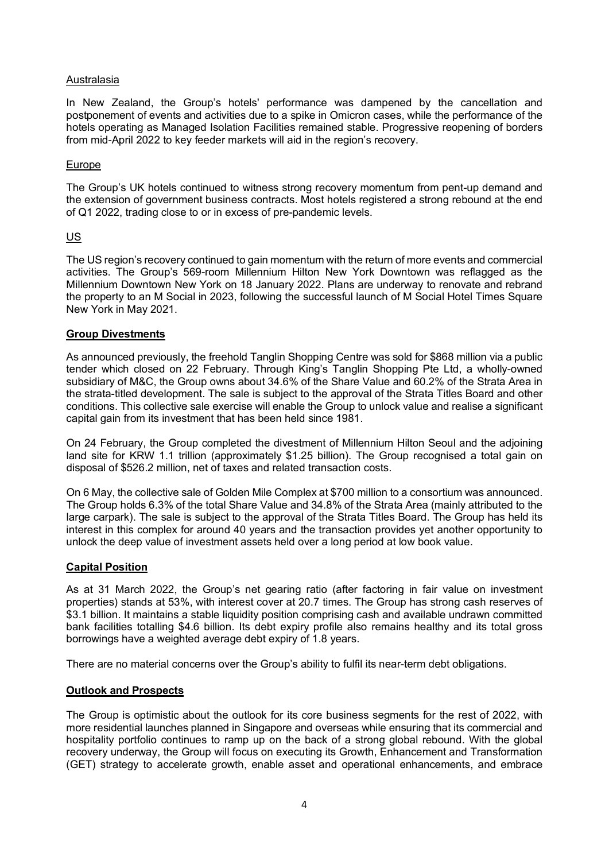## Australasia

In New Zealand, the Group's hotels' performance was dampened by the cancellation and postponement of events and activities due to a spike in Omicron cases, while the performance of the hotels operating as Managed Isolation Facilities remained stable. Progressive reopening of borders from mid-April 2022 to key feeder markets will aid in the region's recovery.

#### Europe

The Group's UK hotels continued to witness strong recovery momentum from pent-up demand and the extension of government business contracts. Most hotels registered a strong rebound at the end of Q1 2022, trading close to or in excess of pre-pandemic levels.

### US

The US region's recovery continued to gain momentum with the return of more events and commercial activities. The Group's 569-room Millennium Hilton New York Downtown was reflagged as the Millennium Downtown New York on 18 January 2022. Plans are underway to renovate and rebrand the property to an M Social in 2023, following the successful launch of M Social Hotel Times Square New York in May 2021.

### **Group Divestments**

As announced previously, the freehold Tanglin Shopping Centre was sold for \$868 million via a public tender which closed on 22 February. Through King's Tanglin Shopping Pte Ltd, a wholly-owned subsidiary of M&C, the Group owns about 34.6% of the Share Value and 60.2% of the Strata Area in the strata-titled development. The sale is subject to the approval of the Strata Titles Board and other conditions. This collective sale exercise will enable the Group to unlock value and realise a significant capital gain from its investment that has been held since 1981.

On 24 February, the Group completed the divestment of Millennium Hilton Seoul and the adjoining land site for KRW 1.1 trillion (approximately \$1.25 billion). The Group recognised a total gain on disposal of \$526.2 million, net of taxes and related transaction costs.

On 6 May, the collective sale of Golden Mile Complex at \$700 million to a consortium was announced. The Group holds 6.3% of the total Share Value and 34.8% of the Strata Area (mainly attributed to the large carpark). The sale is subject to the approval of the Strata Titles Board. The Group has held its interest in this complex for around 40 years and the transaction provides yet another opportunity to unlock the deep value of investment assets held over a long period at low book value.

### **Capital Position**

As at 31 March 2022, the Group's net gearing ratio (after factoring in fair value on investment properties) stands at 53%, with interest cover at 20.7 times. The Group has strong cash reserves of \$3.1 billion. It maintains a stable liquidity position comprising cash and available undrawn committed bank facilities totalling \$4.6 billion. Its debt expiry profile also remains healthy and its total gross borrowings have a weighted average debt expiry of 1.8 years.

There are no material concerns over the Group's ability to fulfil its near-term debt obligations.

### **Outlook and Prospects**

The Group is optimistic about the outlook for its core business segments for the rest of 2022, with more residential launches planned in Singapore and overseas while ensuring that its commercial and hospitality portfolio continues to ramp up on the back of a strong global rebound. With the global recovery underway, the Group will focus on executing its Growth, Enhancement and Transformation (GET) strategy to accelerate growth, enable asset and operational enhancements, and embrace